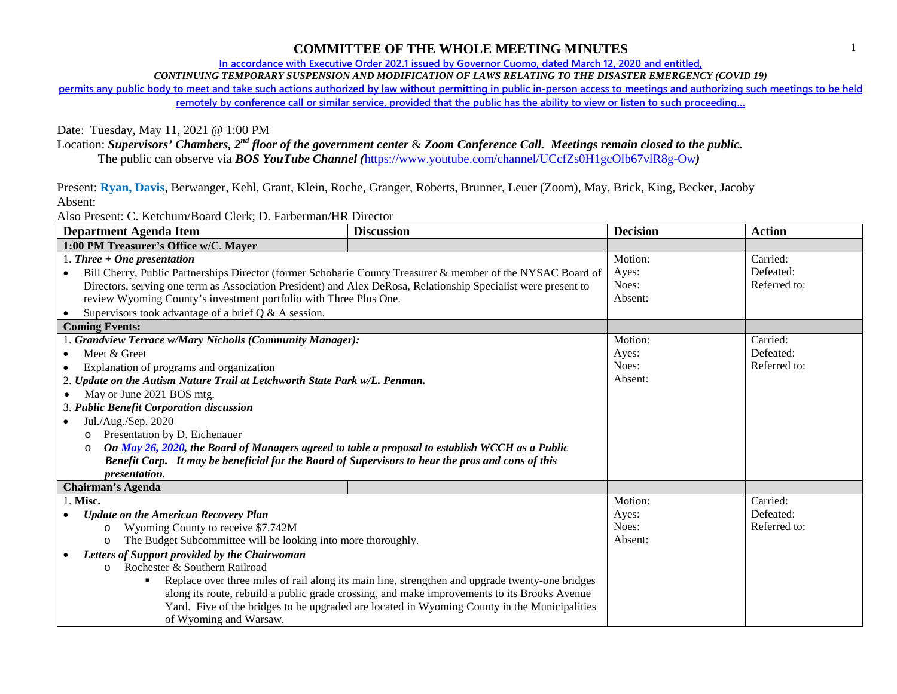## **COMMITTEE OF THE WHOLE MEETING MINUTES**

**In accordance with Executive Order 202.1 issued by Governor Cuomo, dated March 12, 2020 and entitled,** 

*CONTINUING TEMPORARY SUSPENSION AND MODIFICATION OF LAWS RELATING TO THE DISASTER EMERGENCY (COVID 19)*

**permits any public body to meet and take such actions authorized by law without permitting in public in-person access to meetings and authorizing such meetings to be held remotely by conference call or similar service, provided that the public has the ability to view or listen to such proceeding…**

Date: Tuesday, May 11, 2021 @ 1:00 PM

Location: *Supervisors' Chambers, 2nd floor of the government center* & *Zoom Conference Call. Meetings remain closed to the public.*

The public can observe via *BOS YouTube Channel (*https://www.youtube.com/channel/UCcfZs0H1gcOlb67vlR8g-Ow*)*

Present: **Ryan, Davis**, Berwanger, Kehl, Grant, Klein, Roche, Granger, Roberts, Brunner, Leuer (Zoom), May, Brick, King, Becker, Jacoby Absent:

Also Present: C. Ketchum/Board Clerk; D. Farberman/HR Director

| <b>Department Agenda Item</b>                                                                                  | <b>Discussion</b> | <b>Decision</b> | <b>Action</b> |  |
|----------------------------------------------------------------------------------------------------------------|-------------------|-----------------|---------------|--|
| 1:00 PM Treasurer's Office w/C. Mayer                                                                          |                   |                 |               |  |
| 1. Three $+$ One presentation                                                                                  |                   | Motion:         | Carried:      |  |
| Bill Cherry, Public Partnerships Director (former Schoharie County Treasurer & member of the NYSAC Board of    |                   | Ayes:           | Defeated:     |  |
| Directors, serving one term as Association President) and Alex DeRosa, Relationship Specialist were present to |                   | Noes:           | Referred to:  |  |
| review Wyoming County's investment portfolio with Three Plus One.                                              |                   | Absent:         |               |  |
| Supervisors took advantage of a brief $Q & A$ session.                                                         |                   |                 |               |  |
| <b>Coming Events:</b>                                                                                          |                   |                 |               |  |
| 1. Grandview Terrace w/Mary Nicholls (Community Manager):                                                      |                   | Motion:         | Carried:      |  |
| Meet & Greet                                                                                                   |                   | Ayes:           | Defeated:     |  |
| Explanation of programs and organization                                                                       |                   | Noes:           | Referred to:  |  |
| 2. Update on the Autism Nature Trail at Letchworth State Park w/L. Penman.                                     | Absent:           |                 |               |  |
| May or June 2021 BOS mtg.                                                                                      |                   |                 |               |  |
| 3. Public Benefit Corporation discussion                                                                       |                   |                 |               |  |
| Jul./Aug./Sep. 2020                                                                                            |                   |                 |               |  |
| Presentation by D. Eichenauer<br>O                                                                             |                   |                 |               |  |
| On May 26, 2020, the Board of Managers agreed to table a proposal to establish WCCH as a Public<br>$\circ$     |                   |                 |               |  |
| Benefit Corp. It may be beneficial for the Board of Supervisors to hear the pros and cons of this              |                   |                 |               |  |
| <i>presentation.</i>                                                                                           |                   |                 |               |  |
| <b>Chairman's Agenda</b>                                                                                       |                   |                 |               |  |
| 1. Misc.                                                                                                       |                   | Motion:         | Carried:      |  |
| <b>Update on the American Recovery Plan</b>                                                                    |                   | Ayes:           | Defeated:     |  |
| Wyoming County to receive \$7.742M<br>$\circ$                                                                  |                   | Noes:           | Referred to:  |  |
| The Budget Subcommittee will be looking into more thoroughly.<br>$\circ$                                       |                   | Absent:         |               |  |
| Letters of Support provided by the Chairwoman                                                                  |                   |                 |               |  |
| Rochester & Southern Railroad<br>$\Omega$                                                                      |                   |                 |               |  |
| Replace over three miles of rail along its main line, strengthen and upgrade twenty-one bridges<br>٠           |                   |                 |               |  |
| along its route, rebuild a public grade crossing, and make improvements to its Brooks Avenue                   |                   |                 |               |  |
| Yard. Five of the bridges to be upgraded are located in Wyoming County in the Municipalities                   |                   |                 |               |  |
| of Wyoming and Warsaw.                                                                                         |                   |                 |               |  |